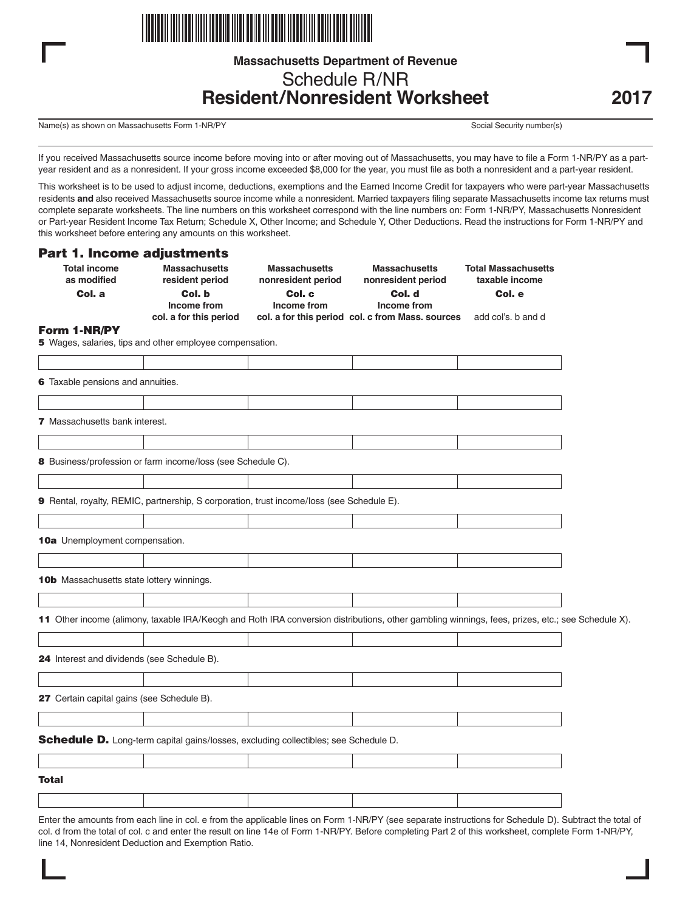

# **Massachusetts Department of Revenue** Schedule R/NR **Resident/Nonresident Worksheet**

Name(s) as shown on Massachusetts Form 1-NR/PY Social Security number(s) Social Security number(s)

If you received Massachusetts source income before moving into or after moving out of Massachusetts, you may have to file a Form 1-NR/PY as a partyear resident and as a nonresident. If your gross income exceeded \$8,000 for the year, you must file as both a nonresident and a part-year resident.

This worksheet is to be used to adjust income, deductions, exemptions and the Earned Income Credit for taxpayers who were part-year Massachusetts residents **and** also received Massachusetts source income while a nonresident. Married taxpayers filing separate Massachusetts income tax returns must complete separate worksheets. The line numbers on this worksheet correspond with the line numbers on: Form 1-NR/PY, Massachusetts Nonresident or Part-year Resident Income Tax Return; Schedule X, Other Income; and Schedule Y, Other Deductions. Read the instructions for Form 1-NR/PY and this worksheet before entering any amounts on this worksheet.

#### **Part 1. Income adjustments**

| <b>Total income</b><br>as modified<br>Col. a | <b>Massachusetts</b><br>resident period<br>Col. b                                         | <b>Massachusetts</b><br>nonresident period<br>Col. c | <b>Massachusetts</b><br>nonresident period<br>Col. d                                                                                             | <b>Total Massachusetts</b><br>taxable income<br>Col. e |  |
|----------------------------------------------|-------------------------------------------------------------------------------------------|------------------------------------------------------|--------------------------------------------------------------------------------------------------------------------------------------------------|--------------------------------------------------------|--|
|                                              | Income from<br>col. a for this period                                                     | Income from                                          | Income from<br>col. a for this period col. c from Mass. sources                                                                                  | add col's. b and d                                     |  |
| Form 1-NR/PY                                 |                                                                                           |                                                      |                                                                                                                                                  |                                                        |  |
|                                              | 5 Wages, salaries, tips and other employee compensation.                                  |                                                      |                                                                                                                                                  |                                                        |  |
|                                              |                                                                                           |                                                      |                                                                                                                                                  |                                                        |  |
| 6 Taxable pensions and annuities.            |                                                                                           |                                                      |                                                                                                                                                  |                                                        |  |
|                                              |                                                                                           |                                                      |                                                                                                                                                  |                                                        |  |
| <b>7</b> Massachusetts bank interest.        |                                                                                           |                                                      |                                                                                                                                                  |                                                        |  |
|                                              |                                                                                           |                                                      |                                                                                                                                                  |                                                        |  |
|                                              | 8 Business/profession or farm income/loss (see Schedule C).                               |                                                      |                                                                                                                                                  |                                                        |  |
|                                              |                                                                                           |                                                      |                                                                                                                                                  |                                                        |  |
|                                              | 9 Rental, royalty, REMIC, partnership, S corporation, trust income/loss (see Schedule E). |                                                      |                                                                                                                                                  |                                                        |  |
| 10a Unemployment compensation.               |                                                                                           |                                                      |                                                                                                                                                  |                                                        |  |
|                                              |                                                                                           |                                                      |                                                                                                                                                  |                                                        |  |
| 10b Massachusetts state lottery winnings.    |                                                                                           |                                                      |                                                                                                                                                  |                                                        |  |
|                                              |                                                                                           |                                                      |                                                                                                                                                  |                                                        |  |
|                                              |                                                                                           |                                                      | 11 Other income (alimony, taxable IRA/Keogh and Roth IRA conversion distributions, other gambling winnings, fees, prizes, etc.; see Schedule X). |                                                        |  |
|                                              |                                                                                           |                                                      |                                                                                                                                                  |                                                        |  |
| 24 Interest and dividends (see Schedule B).  |                                                                                           |                                                      |                                                                                                                                                  |                                                        |  |
|                                              |                                                                                           |                                                      |                                                                                                                                                  |                                                        |  |
| 27 Certain capital gains (see Schedule B).   |                                                                                           |                                                      |                                                                                                                                                  |                                                        |  |
|                                              |                                                                                           |                                                      |                                                                                                                                                  |                                                        |  |
|                                              | Schedule D. Long-term capital gains/losses, excluding collectibles; see Schedule D.       |                                                      |                                                                                                                                                  |                                                        |  |
|                                              |                                                                                           |                                                      |                                                                                                                                                  |                                                        |  |
| Total                                        |                                                                                           |                                                      |                                                                                                                                                  |                                                        |  |
|                                              |                                                                                           |                                                      |                                                                                                                                                  |                                                        |  |

Enter the amounts from each line in col. e from the applicable lines on Form 1-NR/PY (see separate instructions for Schedule D). Subtract the total of col. d from the total of col. c and enter the result on line 14e of Form 1-NR/PY. Before completing Part 2 of this worksheet, complete Form 1-NR/PY, line 14, Nonresident Deduction and Exemption Ratio.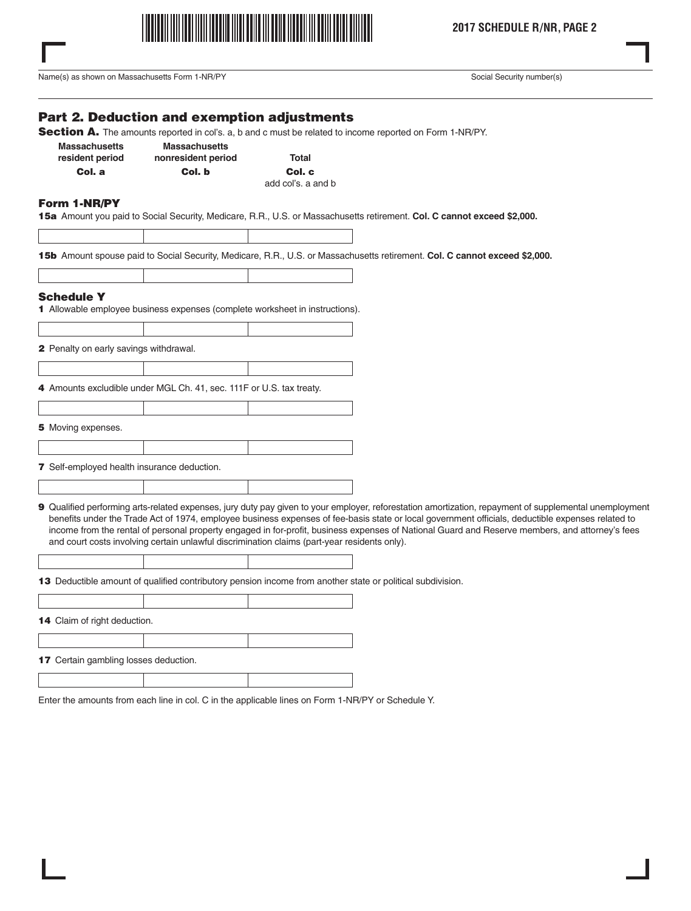

Name(s) as shown on Massachusetts Form 1-NR/PY Social Security number(s) Social Security number(s)

## **Part 2. Deduction and exemption adjustments**

**Section A.** The amounts reported in col's. a, b and c must be related to income reported on Form 1-NR/PY.

| <b>Massachusetts</b> | <b>Massachusetts</b> |        |
|----------------------|----------------------|--------|
| resident period      | nonresident period   | Total  |
| Col. a               | Col. b               | Col. c |
|                      |                      |        |

add col's. a and b

#### **Form 1-NR/PY**

**15a** Amount you paid to Social Security, Medicare, R.R., U.S. or Massachusetts retirement. **Col. C cannot exceed \$2,000.**

**15b** Amount spouse paid to Social Security, Medicare, R.R., U.S. or Massachusetts retirement. **Col. C cannot exceed \$2,000.**

#### **Schedule Y**

**1** Allowable employee business expenses (complete worksheet in instructions).

**2** Penalty on early savings withdrawal.

**4** Amounts excludible under MGL Ch. 41, sec. 111F or U.S. tax treaty.

**5** Moving expenses.

**7** Self-employed health insurance deduction.

**9** Qualified performing arts-related expenses, jury duty pay given to your employer, reforestation amortization, repayment of supplemental unemployment benefits under the Trade Act of 1974, employee business expenses of fee-basis state or local government officials, deductible expenses related to income from the rental of personal property engaged in for-profit, business expenses of National Guard and Reserve members, and attorney's fees and court costs involving certain unlawful discrimination claims (part-year residents only).

**13** Deductible amount of qualified contributory pension income from another state or political subdivision.

**14** Claim of right deduction. **17** Certain gambling losses deduction.

Enter the amounts from each line in col. C in the applicable lines on Form 1-NR/PY or Schedule Y.